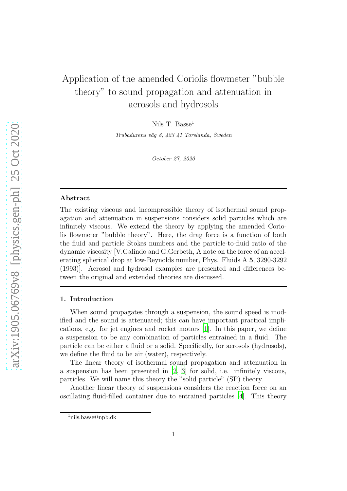# Application of the amended Coriolis flowmeter "bubble theory" to sound propagation and attenuation in aerosols and hydrosols

Nils T. Basse<sup>1</sup>

Trubadurens väg 8, 423 41 Torslanda, Sweden

October 27, 2020

#### Abstract

The existing viscous and incompressible theory of isothermal sound propagation and attenuation in suspensions considers solid particles which are infinitely viscous. We extend the theory by applying the amended Coriolis flowmeter "bubble theory". Here, the drag force is a function of both the fluid and particle Stokes numbers and the particle-to-fluid ratio of the dynamic viscosity [V.Galindo and G.Gerbeth, A note on the force of an accelerating spherical drop at low-Reynolds number, Phys. Fluids A 5, 3290-3292 (1993)]. Aerosol and hydrosol examples are presented and differences between the original and extended theories are discussed.

## 1. Introduction

When sound propagates through a suspension, the sound speed is modified and the sound is attenuated; this can have important practical implications, e.g. for jet engines and rocket motors [\[1\]](#page-11-0). In this paper, we define a suspension to be any combination of particles entrained in a fluid. The particle can be either a fluid or a solid. Specifically, for aerosols (hydrosols), we define the fluid to be air (water), respectively.

The linear theory of isothermal sound propagation and attenuation in a suspension has been presented in [\[2,](#page-11-1) [3](#page-11-2)] for solid, i.e. infinitely viscous, particles. We will name this theory the "solid particle" (SP) theory.

Another linear theory of suspensions considers the reaction force on an oscillating fluid-filled container due to entrained particles [\[4\]](#page-11-3). This theory

<sup>1</sup>nils.basse@npb.dk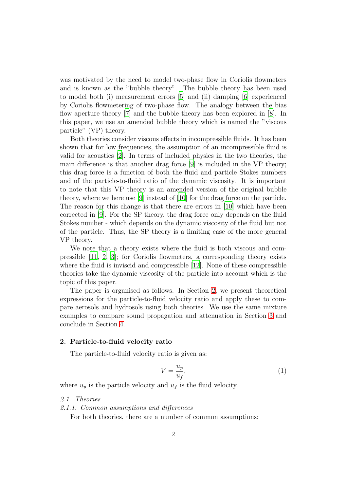was motivated by the need to model two-phase flow in Coriolis flowmeters and is known as the "bubble theory". The bubble theory has been used to model both (i) measurement errors [\[5](#page-12-0)] and (ii) damping [\[6\]](#page-12-1) experienced by Coriolis flowmetering of two-phase flow. The analogy between the bias flow aperture theory [\[7](#page-12-2)] and the bubble theory has been explored in [\[8\]](#page-12-3). In this paper, we use an amended bubble theory which is named the "viscous particle" (VP) theory.

Both theories consider viscous effects in incompressible fluids. It has been shown that for low frequencies, the assumption of an incompressible fluid is valid for acoustics [\[2\]](#page-11-1). In terms of included physics in the two theories, the main difference is that another drag force [\[9](#page-12-4)] is included in the VP theory; this drag force is a function of both the fluid and particle Stokes numbers and of the particle-to-fluid ratio of the dynamic viscosity. It is important to note that this VP theory is an amended version of the original bubble theory, where we here use [\[9](#page-12-4)] instead of [\[10](#page-12-5)] for the drag force on the particle. The reason for this change is that there are errors in [\[10](#page-12-5)] which have been corrected in [\[9](#page-12-4)]. For the SP theory, the drag force only depends on the fluid Stokes number - which depends on the dynamic viscosity of the fluid but not of the particle. Thus, the SP theory is a limiting case of the more general VP theory.

We note that a theory exists where the fluid is both viscous and compressible [\[11](#page-12-6), [2,](#page-11-1) [3](#page-11-2)]; for Coriolis flowmeters, a corresponding theory exists where the fluid is inviscid and compressible [\[12](#page-12-7)]. None of these compressible theories take the dynamic viscosity of the particle into account which is the topic of this paper.

The paper is organised as follows: In Section [2,](#page-1-0) we present theoretical expressions for the particle-to-fluid velocity ratio and apply these to compare aerosols and hydrosols using both theories. We use the same mixture examples to compare sound propagation and attenuation in Section [3](#page-7-0) and conclude in Section [4.](#page-10-0)

# <span id="page-1-0"></span>2. Particle-to-fluid velocity ratio

The particle-to-fluid velocity ratio is given as:

$$
V = \frac{u_p}{u_f},\tag{1}
$$

where  $u_p$  is the particle velocity and  $u_f$  is the fluid velocity.

#### 2.1. Theories

2.1.1. Common assumptions and differences

For both theories, there are a number of common assumptions: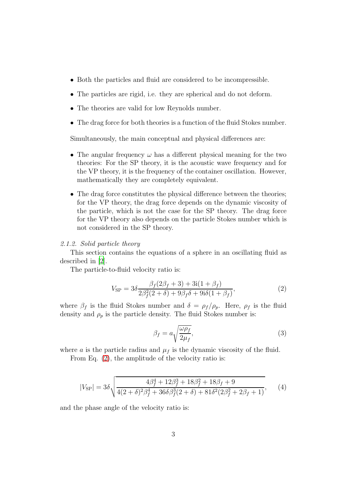- Both the particles and fluid are considered to be incompressible.
- The particles are rigid, i.e. they are spherical and do not deform.
- The theories are valid for low Reynolds number.
- The drag force for both theories is a function of the fluid Stokes number.

Simultaneously, the main conceptual and physical differences are:

- The angular frequency  $\omega$  has a different physical meaning for the two theories: For the SP theory, it is the acoustic wave frequency and for the VP theory, it is the frequency of the container oscillation. However, mathematically they are completely equivalent.
- The drag force constitutes the physical difference between the theories; for the VP theory, the drag force depends on the dynamic viscosity of the particle, which is not the case for the SP theory. The drag force for the VP theory also depends on the particle Stokes number which is not considered in the SP theory.

#### 2.1.2. Solid particle theory

This section contains the equations of a sphere in an oscillating fluid as described in [\[2](#page-11-1)].

The particle-to-fluid velocity ratio is:

<span id="page-2-0"></span>
$$
V_{\rm SP} = 3\delta \frac{\beta_f (2\beta_f + 3) + 3i(1 + \beta_f)}{2\beta_f^2 (2 + \delta) + 9\beta_f \delta + 9i\delta(1 + \beta_f)},
$$
(2)

where  $\beta_f$  is the fluid Stokes number and  $\delta = \rho_f/\rho_p$ . Here,  $\rho_f$  is the fluid density and  $\rho_p$  is the particle density. The fluid Stokes number is:

$$
\beta_f = a \sqrt{\frac{\omega \rho_f}{2\mu_f}},\tag{3}
$$

where a is the particle radius and  $\mu_f$  is the dynamic viscosity of the fluid.

From Eq. [\(2\)](#page-2-0), the amplitude of the velocity ratio is:

$$
|V_{\rm SP}| = 3\delta \sqrt{\frac{4\beta_f^4 + 12\beta_f^3 + 18\beta_f^2 + 18\beta_f + 9}{4(2+\delta)^2\beta_f^4 + 36\delta\beta_f^3(2+\delta) + 81\delta^2(2\beta_f^2 + 2\beta_f + 1)}},\qquad(4)
$$

and the phase angle of the velocity ratio is: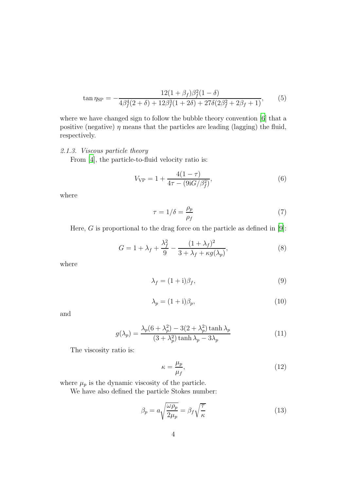$$
\tan \eta_{\rm SP} = -\frac{12(1+\beta_f)\beta_f^2(1-\delta)}{4\beta_f^4(2+\delta) + 12\beta_f^3(1+2\delta) + 27\delta(2\beta_f^2 + 2\beta_f + 1)},\tag{5}
$$

where we have changed sign to follow the bubble theory convention [\[6](#page-12-1)] that a positive (negative)  $\eta$  means that the particles are leading (lagging) the fluid, respectively.

2.1.3. Viscous particle theory

From [\[4](#page-11-3)], the particle-to-fluid velocity ratio is:

<span id="page-3-1"></span>
$$
V_{\rm VP} = 1 + \frac{4(1-\tau)}{4\tau - (9{\rm i}G/\beta_f^2)},\tag{6}
$$

where

$$
\tau = 1/\delta = \frac{\rho_p}{\rho_f} \tag{7}
$$

Here,  $G$  is proportional to the drag force on the particle as defined in  $[9]$ :

<span id="page-3-0"></span>
$$
G = 1 + \lambda_f + \frac{\lambda_f^2}{9} - \frac{(1 + \lambda_f)^2}{3 + \lambda_f + \kappa g(\lambda_p)},
$$
\n(8)

where

$$
\lambda_f = (1 + i)\beta_f,\tag{9}
$$

$$
\lambda_p = (1 + i)\beta_p,\tag{10}
$$

and

$$
g(\lambda_p) = \frac{\lambda_p (6 + \lambda_p^2) - 3(2 + \lambda_p^2) \tanh \lambda_p}{(3 + \lambda_p^2) \tanh \lambda_p - 3\lambda_p}
$$
 (11)

The viscosity ratio is:

$$
\kappa = \frac{\mu_p}{\mu_f},\tag{12}
$$

where  $\mu_p$  is the dynamic viscosity of the particle.

We have also defined the particle Stokes number:

$$
\beta_p = a \sqrt{\frac{\omega \rho_p}{2\mu_p}} = \beta_f \sqrt{\frac{\tau}{\kappa}}
$$
\n(13)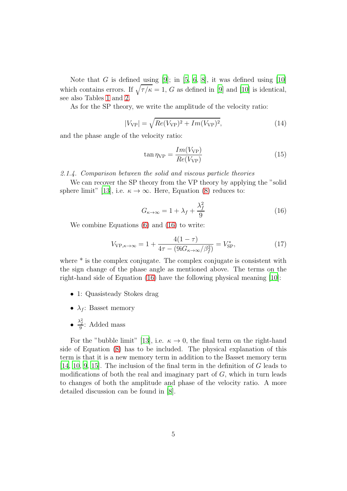Note that G is defined using  $[9]$ ; in  $[5, 6, 8]$  $[5, 6, 8]$  $[5, 6, 8]$  $[5, 6, 8]$ , it was defined using  $[10]$ which contains errors. If  $\sqrt{\tau/\kappa} = 1$ , G as defined in [\[9\]](#page-12-4) and [\[10\]](#page-12-5) is identical, see also Tables [1](#page-5-0) and [2.](#page-6-0)

As for the SP theory, we write the amplitude of the velocity ratio:

$$
|V_{\rm VP}| = \sqrt{Re(V_{\rm VP})^2 + Im(V_{\rm VP})^2},\tag{14}
$$

and the phase angle of the velocity ratio:

$$
\tan \eta_{\rm VP} = \frac{Im(V_{\rm VP})}{Re(V_{\rm VP})} \tag{15}
$$

2.1.4. Comparison between the solid and viscous particle theories

We can recover the SP theory from the VP theory by applying the "solid sphere limit" [\[13](#page-12-8)], i.e.  $\kappa \to \infty$ . Here, Equation [\(8\)](#page-3-0) reduces to:

<span id="page-4-0"></span>
$$
G_{\kappa \to \infty} = 1 + \lambda_f + \frac{\lambda_f^2}{9} \tag{16}
$$

We combine Equations [\(6\)](#page-3-1) and [\(16\)](#page-4-0) to write:

$$
V_{\text{VP}, \kappa \to \infty} = 1 + \frac{4(1 - \tau)}{4\tau - (9\mathbf{i}G_{\kappa \to \infty}/\beta_f^2)} = V_{\text{SP}}^*,\tag{17}
$$

where  $*$  is the complex conjugate. The complex conjugate is consistent with the sign change of the phase angle as mentioned above. The terms on the right-hand side of Equation [\(16\)](#page-4-0) have the following physical meaning [\[10\]](#page-12-5):

- 1: Quasisteady Stokes drag
- $\lambda_f$ : Basset memory
- $\frac{\lambda_f^2}{9}$ : Added mass

For the "bubble limit" [\[13](#page-12-8)], i.e.  $\kappa \to 0$ , the final term on the right-hand side of Equation [\(8\)](#page-3-0) has to be included. The physical explanation of this term is that it is a new memory term in addition to the Basset memory term [\[14,](#page-12-9) [10,](#page-12-5) [9,](#page-12-4) [15](#page-12-10)]. The inclusion of the final term in the definition of G leads to modifications of both the real and imaginary part of  $G$ , which in turn leads to changes of both the amplitude and phase of the velocity ratio. A more detailed discussion can be found in [\[8\]](#page-12-3).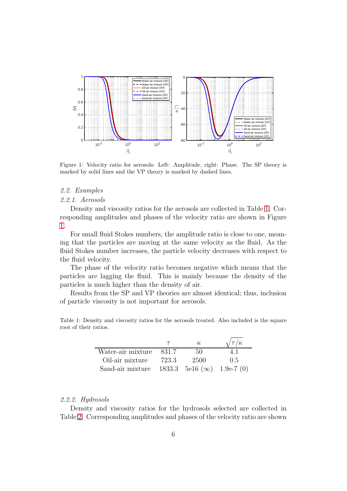

<span id="page-5-1"></span>Figure 1: Velocity ratio for aerosols: Left: Amplitude, right: Phase. The SP theory is marked by solid lines and the VP theory is marked by dashed lines.

## 2.2. Examples

#### 2.2.1. Aerosols

Density and viscosity ratios for the aerosols are collected in Table [1.](#page-5-0) Corresponding amplitudes and phases of the velocity ratio are shown in Figure [1.](#page-5-1)

For small fluid Stokes numbers, the amplitude ratio is close to one, meaning that the particles are moving at the same velocity as the fluid. As the fluid Stokes number increases, the particle velocity decreases with respect to the fluid velocity.

The phase of the velocity ratio becomes negative which means that the particles are lagging the fluid. This is mainly because the density of the particles is much higher than the density of air.

Results from the SP and VP theories are almost identical; thus, inclusion of particle viscosity is not important for aerosols.

Table 1: Density and viscosity ratios for the aerosols treated. Also included is the square root of their ratios.

<span id="page-5-0"></span>

|                   |       | к                                   | $\sqrt{\tau/\kappa}$ |
|-------------------|-------|-------------------------------------|----------------------|
| Water-air mixture | 831.7 | 50.                                 | 41                   |
| Oil-air mixture   | 723.3 | 2500                                | 0.5                  |
| Sand-air mixture  |       | 1833.3 5e16 ( $\infty$ ) 1.9e-7 (0) |                      |

# 2.2.2. Hydrosols

Density and viscosity ratios for the hydrosols selected are collected in Table [2.](#page-6-0) Corresponding amplitudes and phases of the velocity ratio are shown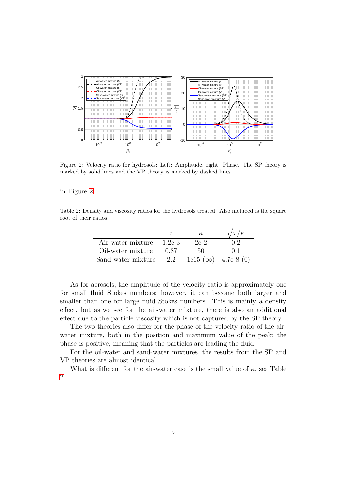

<span id="page-6-1"></span>Figure 2: Velocity ratio for hydrosols: Left: Amplitude, right: Phase. The SP theory is marked by solid lines and the VP theory is marked by dashed lines.

in Figure [2.](#page-6-1)

Table 2: Density and viscosity ratios for the hydrosols treated. Also included is the square root of their ratios.

<span id="page-6-0"></span>

|                          |      | К.                        | $\sqrt{\tau/\kappa}$ |
|--------------------------|------|---------------------------|----------------------|
| Air-water mixture 1.2e-3 |      | $2e-2$                    | 0.2                  |
| Oil-water mixture        | 0.87 | 50.                       | () 1                 |
| Sand-water mixture       | 2.2  | $1e15(\infty)$ 4.7e-8 (0) |                      |

As for aerosols, the amplitude of the velocity ratio is approximately one for small fluid Stokes numbers; however, it can become both larger and smaller than one for large fluid Stokes numbers. This is mainly a density effect, but as we see for the air-water mixture, there is also an additional effect due to the particle viscosity which is not captured by the SP theory.

The two theories also differ for the phase of the velocity ratio of the airwater mixture, both in the position and maximum value of the peak; the phase is positive, meaning that the particles are leading the fluid.

For the oil-water and sand-water mixtures, the results from the SP and VP theories are almost identical.

What is different for the air-water case is the small value of  $\kappa$ , see Table [2.](#page-6-0)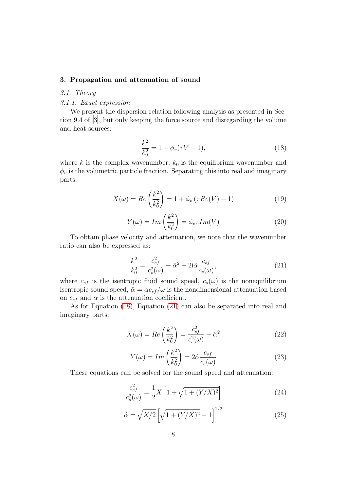# <span id="page-7-0"></span>3. Propagation and attenuation of sound

# 3.1. Theory

# 3.1.1. Exact expression

We present the dispersion relation following analysis as presented in Section 9.4 of [\[3\]](#page-11-2), but only keeping the force source and disregarding the volume and heat sources:

<span id="page-7-1"></span>
$$
\frac{k^2}{k_0^2} = 1 + \phi_v(\tau V - 1),\tag{18}
$$

where  $k$  is the complex wavenumber,  $k_0$  is the equilibrium wavenumber and  $\phi_v$  is the volumetric particle fraction. Separating this into real and imaginary parts:

$$
X(\omega) = Re\left(\frac{k^2}{k_0^2}\right) = 1 + \phi_v \left(\tau Re(V) - 1\right) \tag{19}
$$

<span id="page-7-5"></span>
$$
Y(\omega) = Im\left(\frac{k^2}{k_0^2}\right) = \phi_v \tau Im(V)
$$
\n(20)

To obtain phase velocity and attenuation, we note that the wavenumber ratio can also be expressed as:

<span id="page-7-2"></span>
$$
\frac{k^2}{k_0^2} = \frac{c_{sf}^2}{c_s^2(\omega)} - \hat{\alpha}^2 + 2i\hat{\alpha}\frac{c_{sf}}{c_s(\omega)},
$$
\n(21)

where  $c_{sf}$  is the isentropic fluid sound speed,  $c_s(\omega)$  is the nonequilibrium isentropic sound speed,  $\hat{\alpha} = \alpha c_{sf}/\omega$  is the nondimensional attenuation based on  $c_{sf}$  and  $\alpha$  is the attenuation coefficient.

As for Equation [\(18\)](#page-7-1), Equation [\(21\)](#page-7-2) can also be separated into real and imaginary parts:

<span id="page-7-3"></span>
$$
X(\omega) = Re\left(\frac{k^2}{k_0^2}\right) = \frac{c_{sf}^2}{c_s^2(\omega)} - \hat{\alpha}^2
$$
\n(22)

<span id="page-7-4"></span>
$$
Y(\omega) = Im\left(\frac{k^2}{k_0^2}\right) = 2\hat{\alpha}\frac{c_{sf}}{c_s(\omega)}
$$
\n(23)

These equations can be solved for the sound speed and attenuation:

$$
\frac{c_{sf}^2}{c_s^2(\omega)} = \frac{1}{2}X\left[1 + \sqrt{1 + (Y/X)^2}\right]
$$
 (24)

<span id="page-7-6"></span>
$$
\hat{\alpha} = \sqrt{X/2} \left[ \sqrt{1 + (Y/X)^2} - 1 \right]^{1/2} \tag{25}
$$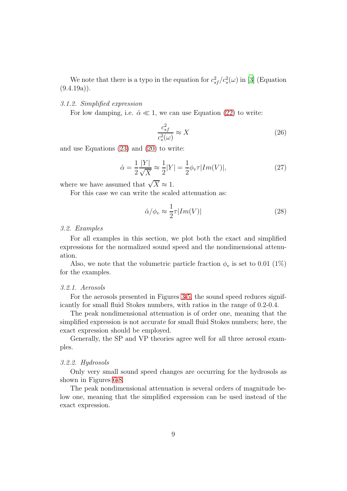We note that there is a typo in the equation for  $c_{sf}^2/c_s^2(\omega)$  in [\[3\]](#page-11-2) (Equation  $(9.4.19a)$ .

## 3.1.2. Simplified expression

For low damping, i.e.  $\hat{\alpha} \ll 1$ , we can use Equation [\(22\)](#page-7-3) to write:

$$
\frac{c_{sf}^2}{c_s^2(\omega)} \approx X \tag{26}
$$

and use Equations [\(23\)](#page-7-4) and [\(20\)](#page-7-5) to write:

$$
\hat{\alpha} = \frac{1}{2} \frac{|Y|}{\sqrt{X}} \approx \frac{1}{2} |Y| = \frac{1}{2} \phi_v \tau |Im(V)|, \tag{27}
$$

where we have assumed that  $\sqrt{X} \approx 1$ .

For this case we can write the scaled attenuation as:

$$
\hat{\alpha}/\phi_v \approx \frac{1}{2}\tau |Im(V)|\tag{28}
$$

## 3.2. Examples

For all examples in this section, we plot both the exact and simplified expressions for the normalized sound speed and the nondimensional attenuation.

Also, we note that the volumetric particle fraction  $\phi_v$  is set to 0.01 (1%) for the examples.

#### 3.2.1. Aerosols

For the aerosols presented in Figures [3-](#page-9-0)[5,](#page-9-1) the sound speed reduces significantly for small fluid Stokes numbers, with ratios in the range of 0.2-0.4.

The peak nondimensional attenuation is of order one, meaning that the simplified expression is not accurate for small fluid Stokes numbers; here, the exact expression should be employed.

Generally, the SP and VP theories agree well for all three aerosol examples.

#### 3.2.2. Hydrosols

Only very small sound speed changes are occurring for the hydrosols as shown in Figures [6](#page-10-1)[-8.](#page-11-4)

The peak nondimensional attenuation is several orders of magnitude below one, meaning that the simplified expression can be used instead of the exact expression.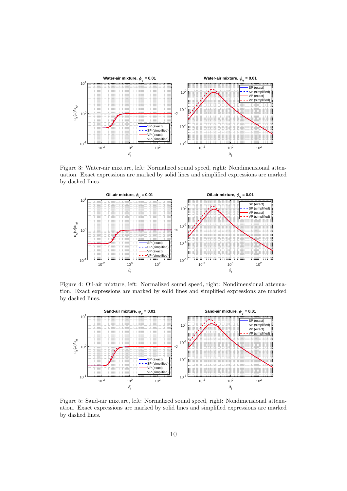

<span id="page-9-0"></span>Figure 3: Water-air mixture, left: Normalized sound speed, right: Nondimensional attenuation. Exact expressions are marked by solid lines and simplified expressions are marked by dashed lines.



Figure 4: Oil-air mixture, left: Normalized sound speed, right: Nondimensional attenuation. Exact expressions are marked by solid lines and simplified expressions are marked by dashed lines.



<span id="page-9-1"></span>Figure 5: Sand-air mixture, left: Normalized sound speed, right: Nondimensional attenuation. Exact expressions are marked by solid lines and simplified expressions are marked by dashed lines.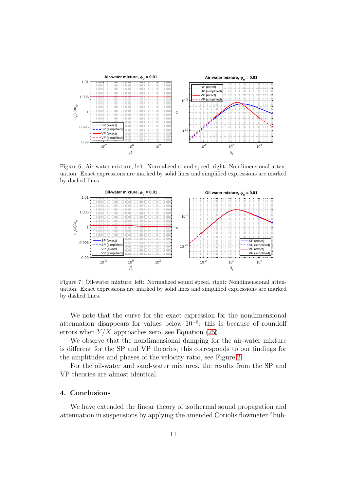

Figure 6: Air-water mixture, left: Normalized sound speed, right: Nondimensional attenuation. Exact expressions are marked by solid lines and simplified expressions are marked by dashed lines.

<span id="page-10-1"></span>

Figure 7: Oil-water mixture, left: Normalized sound speed, right: Nondimensional attenuation. Exact expressions are marked by solid lines and simplified expressions are marked by dashed lines.

We note that the curve for the exact expression for the nondimensional attenuation disappears for values below  $10^{-8}$ ; this is because of roundoff errors when  $Y/X$  approaches zero, see Equation [\(25\)](#page-7-6).

We observe that the nondimensional damping for the air-water mixture is different for the SP and VP theories; this corresponds to our findings for the amplitudes and phases of the velocity ratio, see Figure [2.](#page-6-1)

For the oil-water and sand-water mixtures, the results from the SP and VP theories are almost identical.

# <span id="page-10-0"></span>4. Conclusions

We have extended the linear theory of isothermal sound propagation and attenuation in suspensions by applying the amended Coriolis flowmeter "bub-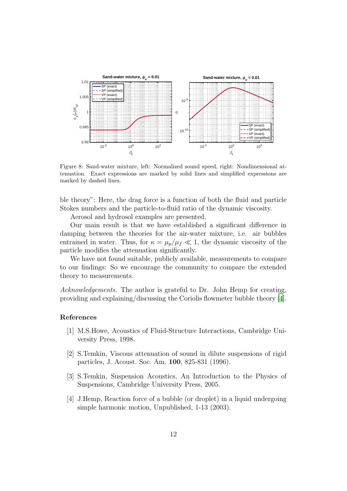

<span id="page-11-4"></span>Figure 8: Sand-water mixture, left: Normalized sound speed, right: Nondimensional attenuation. Exact expressions are marked by solid lines and simplified expressions are marked by dashed lines.

ble theory": Here, the drag force is a function of both the fluid and particle Stokes numbers and the particle-to-fluid ratio of the dynamic viscosity.

Aerosol and hydrosol examples are presented.

Our main result is that we have established a significant difference in damping between the theories for the air-water mixture, i.e. air bubbles entrained in water. Thus, for  $\kappa = \mu_p/\mu_f \ll 1$ , the dynamic viscosity of the particle modifies the attenuation significantly.

We have not found suitable, publicly available, measurements to compare to our findings: So we encourage the community to compare the extended theory to measurements.

Acknowledgements. The author is grateful to Dr. John Hemp for creating, providing and explaining/discussing the Coriolis flowmeter bubble theory [\[4\]](#page-11-3).

## References

- <span id="page-11-0"></span>[1] M.S.Howe, Acoustics of Fluid-Structure Interactions, Cambridge University Press, 1998.
- <span id="page-11-1"></span>[2] S.Temkin, Viscous attenuation of sound in dilute suspensions of rigid particles, J. Acoust. Soc. Am. 100, 825-831 (1996).
- <span id="page-11-2"></span>[3] S.Temkin, Suspension Acoustics, An Introduction to the Physics of Suspensions, Cambridge University Press, 2005.
- <span id="page-11-3"></span>[4] J.Hemp, Reaction force of a bubble (or droplet) in a liquid undergoing simple harmonic motion, Unpublished, 1-13 (2003).